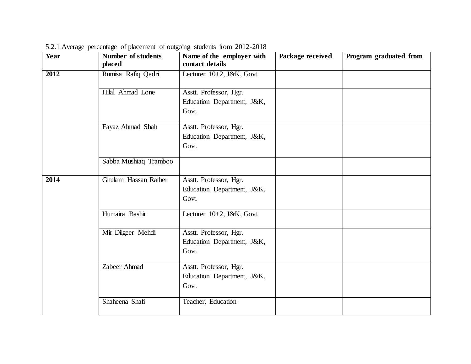| Year | <b>Number of students</b> | Name of the employer with  | Package received | Program graduated from |
|------|---------------------------|----------------------------|------------------|------------------------|
|      | placed                    | contact details            |                  |                        |
| 2012 | Rumisa Rafiq Qadri        | Lecturer 10+2, J&K, Govt.  |                  |                        |
|      | Hilal Ahmad Lone          | Asstt. Professor, Hgr.     |                  |                        |
|      |                           | Education Department, J&K, |                  |                        |
|      |                           | Govt.                      |                  |                        |
|      | Fayaz Ahmad Shah          | Asstt. Professor, Hgr.     |                  |                        |
|      |                           | Education Department, J&K, |                  |                        |
|      |                           | Govt.                      |                  |                        |
|      | Sabba Mushtaq Tramboo     |                            |                  |                        |
| 2014 | Ghulam Hassan Rather      | Asstt. Professor, Hgr.     |                  |                        |
|      |                           | Education Department, J&K, |                  |                        |
|      |                           | Govt.                      |                  |                        |
|      | Humaira Bashir            | Lecturer 10+2, J&K, Govt.  |                  |                        |
|      | Mir Dilgeer Mehdi         | Asstt. Professor, Hgr.     |                  |                        |
|      |                           | Education Department, J&K, |                  |                        |
|      |                           | Govt.                      |                  |                        |
|      | Zabeer Ahmad              | Asstt. Professor, Hgr.     |                  |                        |
|      |                           | Education Department, J&K, |                  |                        |
|      |                           | Govt.                      |                  |                        |
|      | Shaheena Shafi            | Teacher, Education         |                  |                        |

5.2.1 Average percentage of placement of outgoing students from 2012-2018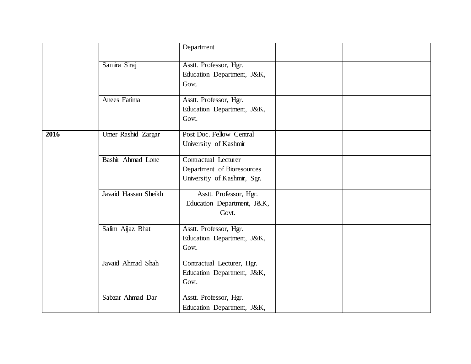|      |                           | Department                  |  |
|------|---------------------------|-----------------------------|--|
|      |                           |                             |  |
|      | Samira Siraj              | Asstt. Professor, Hgr.      |  |
|      |                           | Education Department, J&K,  |  |
|      |                           | Govt.                       |  |
|      | Anees Fatima              | Asstt. Professor, Hgr.      |  |
|      |                           | Education Department, J&K,  |  |
|      |                           | Govt.                       |  |
| 2016 | <b>Umer Rashid Zargar</b> | Post Doc. Fellow Central    |  |
|      |                           | University of Kashmir       |  |
|      | Bashir Ahmad Lone         | <b>Contractual Lecturer</b> |  |
|      |                           | Department of Bioresources  |  |
|      |                           | University of Kashmir, Sgr. |  |
|      | Javaid Hassan Sheikh      | Asstt. Professor, Hgr.      |  |
|      |                           | Education Department, J&K,  |  |
|      |                           | Govt.                       |  |
|      | Salim Aijaz Bhat          | Asstt. Professor, Hgr.      |  |
|      |                           | Education Department, J&K,  |  |
|      |                           | Govt.                       |  |
|      | Javaid Ahmad Shah         | Contractual Lecturer, Hgr.  |  |
|      |                           | Education Department, J&K,  |  |
|      |                           | Govt.                       |  |
|      | Sabzar Ahmad Dar          | Asstt. Professor, Hgr.      |  |
|      |                           | Education Department, J&K,  |  |